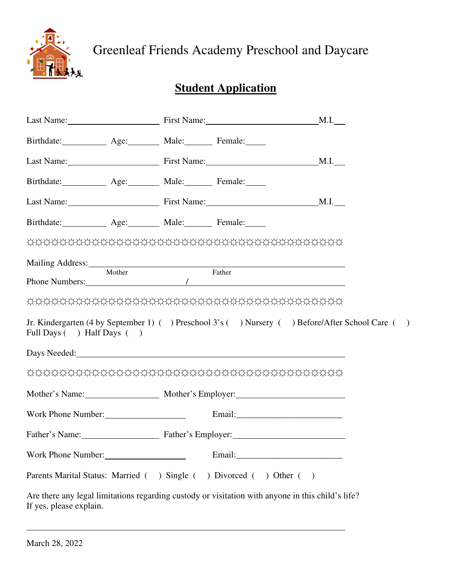

Greenleaf Friends Academy Preschool and Daycare

# **Student Application**

| Last Name: M.I. Manuel M.I. M.I.                                                                                             |        |                                                                                                    |
|------------------------------------------------------------------------------------------------------------------------------|--------|----------------------------------------------------------------------------------------------------|
| Birthdate: Age: Male: Female:                                                                                                |        |                                                                                                    |
| Last Name: M.I. Massenger M.I.                                                                                               |        |                                                                                                    |
| Birthdate: Age: Male: Female:                                                                                                |        |                                                                                                    |
| Last Name: M.I. Massenger M.I. Massenger M.I. M.I. M.I.                                                                      |        |                                                                                                    |
| Birthdate: Age: Male: Female:                                                                                                |        |                                                                                                    |
|                                                                                                                              |        |                                                                                                    |
| Mailing Address: 1988 and 2008 and 2008 and 2008 and 2008 and 2008 and 2008 and 2008 and 2008 and 2008 and 200               |        |                                                                                                    |
| Mother<br>Phone Numbers: 1                                                                                                   | Father |                                                                                                    |
| <b>DUDUCHURU DUDUCHURU DUDUCHURU DUDUCHURU DUDUCHURU DUDUCHURU DUDUCHURU DUDUCHURU DUDUCHURU DUDUCHURU DUDUCHURU </b>        |        |                                                                                                    |
| Full Days ( ) Half Days ( )                                                                                                  |        | Jr. Kindergarten (4 by September 1) ( ) Preschool 3's ( ) Nursery ( ) Before/After School Care ( ) |
| Days Needed: Days Needed:                                                                                                    |        |                                                                                                    |
|                                                                                                                              |        |                                                                                                    |
| Mother's Name: Mother's Employer:                                                                                            |        |                                                                                                    |
| Work Phone Number:                                                                                                           |        |                                                                                                    |
| Father's Name: Father's Employer:                                                                                            |        |                                                                                                    |
| Work Phone Number:                                                                                                           |        |                                                                                                    |
| Parents Marital Status: Married ( ) Single ( ) Divorced ( ) Other ( )                                                        |        |                                                                                                    |
| Are there any legal limitations regarding custody or visitation with anyone in this child's life?<br>If yes, please explain. |        |                                                                                                    |

 $\overline{a}$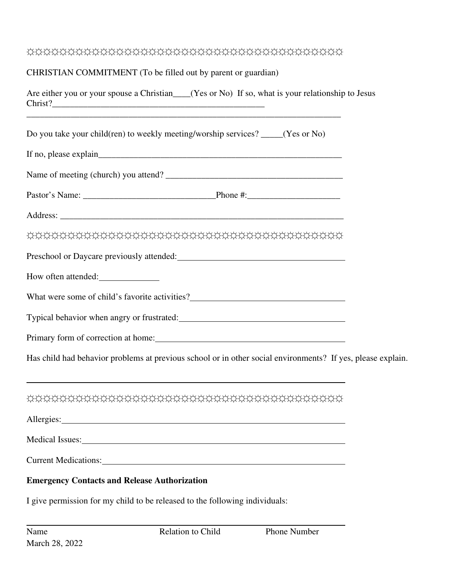## ☼☼☼☼☼☼☼☼☼☼☼☼☼☼☼☼☼☼☼☼☼☼☼☼☼☼☼☼☼☼☼☼☼☼☼☼☼☼☼

### CHRISTIAN COMMITMENT (To be filled out by parent or guardian)

Are either you or your spouse a Christian\_\_\_(Yes or No) If so, what is your relationship to Jesus Christ?\_\_\_\_\_\_\_\_\_\_\_\_\_\_\_\_\_\_\_\_\_\_\_\_\_\_\_\_\_\_\_\_\_\_\_\_\_\_\_\_\_\_\_\_\_\_\_\_

| Do you take your child(ren) to weekly meeting/worship services? _____(Yes or No)                                                                                                                                               |  |  |  |  |
|--------------------------------------------------------------------------------------------------------------------------------------------------------------------------------------------------------------------------------|--|--|--|--|
|                                                                                                                                                                                                                                |  |  |  |  |
|                                                                                                                                                                                                                                |  |  |  |  |
|                                                                                                                                                                                                                                |  |  |  |  |
|                                                                                                                                                                                                                                |  |  |  |  |
|                                                                                                                                                                                                                                |  |  |  |  |
| Preschool or Daycare previously attended:                                                                                                                                                                                      |  |  |  |  |
| How often attended:                                                                                                                                                                                                            |  |  |  |  |
| What were some of child's favorite activities?___________________________________                                                                                                                                              |  |  |  |  |
|                                                                                                                                                                                                                                |  |  |  |  |
| Primary form of correction at home: 1000 metal was a material contract of the state of the state of the state of the state of the state of the state of the state of the state of the state of the state of the state of the s |  |  |  |  |
| Has child had behavior problems at previous school or in other social environments? If yes, please explain.                                                                                                                    |  |  |  |  |
| and the control of the control of the control of the control of the control of the control of the control of the                                                                                                               |  |  |  |  |
| Allergies: New York Contract the Contract of the Contract of the Contract of the Contract of the Contract of the Contract of the Contract of the Contract of the Contract of the Contract of the Contract of the Contract of t |  |  |  |  |
| Medical Issues:                                                                                                                                                                                                                |  |  |  |  |
| Current Medications:                                                                                                                                                                                                           |  |  |  |  |
| <b>Emergency Contacts and Release Authorization</b>                                                                                                                                                                            |  |  |  |  |

I give permission for my child to be released to the following individuals:

 $\overline{a}$